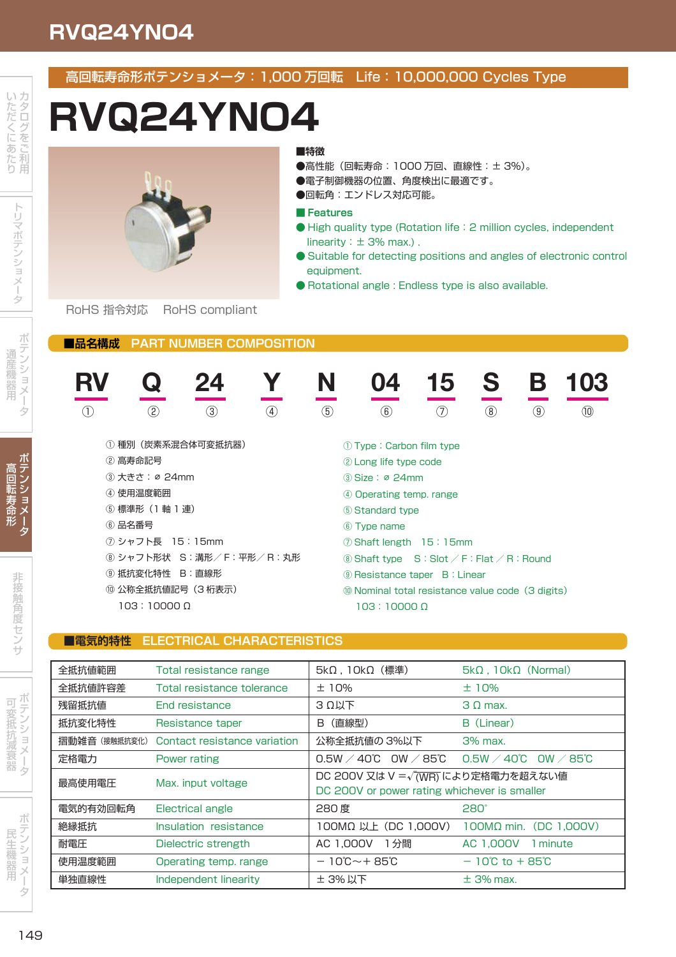## **RVQ24YNO4**

### 高回転寿命形ポテンショメータ:1,000 万回転 Life:10,000,000 Cycles Type

# **RVQ24YNO4**



**■特徴**

- ●高性能 (回転寿命: 1000 万回、直線性: ± 3%)。
- ●電子制御機器の位置、角度検出に最適です。
- ●回転角:エンドレス対応可能。

#### **■ Features**

- High quality type (Rotation life: 2 million cycles, independent linearity:  $\pm$  3% max.).
- Suitable for detecting positions and angles of electronic control equipment.
- Rotational angle : Endless type is also available.

RoHS 指令対応 RoHS compliant

#### **■品名構成 PART NUMBER COMPOSITION**



#### **■電気的特性 ELECTRICAL CHARACTERISTICS**

| 全抵抗値範囲       | Total resistance range       | $5k\Omega$ , $10k\Omega$ (標準)                                                                     | $5k\Omega$ , $10k\Omega$ (Normal)                      |  |
|--------------|------------------------------|---------------------------------------------------------------------------------------------------|--------------------------------------------------------|--|
| 全抵抗値許容差      | Total resistance tolerance   | ±10%                                                                                              | ±10%                                                   |  |
| 残留抵抗值        | <b>End resistance</b>        | $3$ $\Omega$ $\mu$ $\overline{r}$                                                                 | $3 \Omega$ max.                                        |  |
| 抵抗変化特性       | Resistance taper             | (直線型)<br>B                                                                                        | B (Linear)                                             |  |
| 摺動雑音(接触抵抗変化) | Contact resistance variation | 公称全抵抗値の 3%以下                                                                                      | $3%$ max.                                              |  |
| 定格電力         | Power rating                 | $0.5$ W $\diagup$ 40℃<br>OW $\angle$ 85°C                                                         | $0.5W \times 40^{\circ}$ C OW $\angle$ 85 $^{\circ}$ C |  |
| 最高使用電圧       | Max. input voltage           | DC 200V 又は V = $\sqrt{\text{(WR)}}$ により定格電力を超えない値<br>DC 200V or power rating whichever is smaller |                                                        |  |
| 電気的有効回転角     | Electrical angle             | 280 度                                                                                             | 280 <sup>°</sup>                                       |  |
| 絶縁抵抗         | Insulation resistance        | 100MΩ 以上 (DC 1,000V)                                                                              | $100M\Omega$ min. (DC 1.000V)                          |  |
| 耐電圧          | Dielectric strength          | 1分間<br>AC 1,000V                                                                                  | AC 1.000V<br>1 minute                                  |  |
| 使用温度範囲       | Operating temp. range        | $-10^{\circ}$ C $-+85^{\circ}$ C                                                                  | $-10^{\circ}$ C to $+85^{\circ}$ C                     |  |
| 単独直線性        | Independent linearity        | ± 3% 以下                                                                                           | $\pm$ 3% max.                                          |  |

タ

ータ